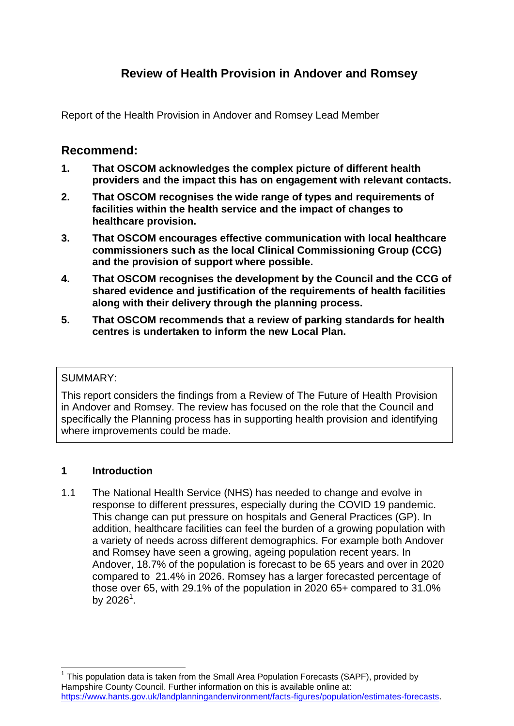# **Review of Health Provision in Andover and Romsey**

Report of the Health Provision in Andover and Romsey Lead Member

## **Recommend:**

- **1. That OSCOM acknowledges the complex picture of different health providers and the impact this has on engagement with relevant contacts.**
- **2. That OSCOM recognises the wide range of types and requirements of facilities within the health service and the impact of changes to healthcare provision.**
- **3. That OSCOM encourages effective communication with local healthcare commissioners such as the local Clinical Commissioning Group (CCG) and the provision of support where possible.**
- **4. That OSCOM recognises the development by the Council and the CCG of shared evidence and justification of the requirements of health facilities along with their delivery through the planning process.**
- **5. That OSCOM recommends that a review of parking standards for health centres is undertaken to inform the new Local Plan.**

### SUMMARY:

This report considers the findings from a Review of The Future of Health Provision in Andover and Romsey. The review has focused on the role that the Council and specifically the Planning process has in supporting health provision and identifying where improvements could be made.

#### **1 Introduction**

 $\overline{a}$ 

1.1 The National Health Service (NHS) has needed to change and evolve in response to different pressures, especially during the COVID 19 pandemic. This change can put pressure on hospitals and General Practices (GP). In addition, healthcare facilities can feel the burden of a growing population with a variety of needs across different demographics. For example both Andover and Romsey have seen a growing, ageing population recent years. In Andover, 18.7% of the population is forecast to be 65 years and over in 2020 compared to 21.4% in 2026. Romsey has a larger forecasted percentage of those over 65, with 29.1% of the population in 2020 65+ compared to 31.0% by 2026<sup>1</sup>.

 $1$  This population data is taken from the Small Area Population Forecasts (SAPF), provided by Hampshire County Council. Further information on this is available online at: [https://www.hants.gov.uk/landplanningandenvironment/facts-figures/population/estimates-forecasts.](https://www.hants.gov.uk/landplanningandenvironment/facts-figures/population/estimates-forecasts)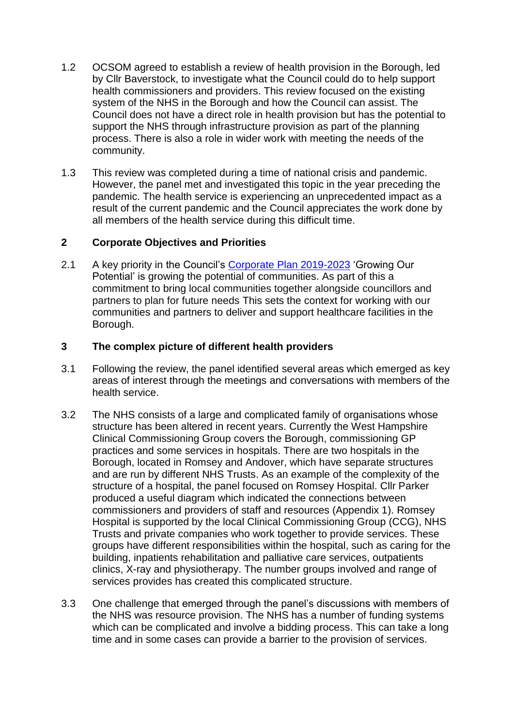- 1.2 OCSOM agreed to establish a review of health provision in the Borough, led by Cllr Baverstock, to investigate what the Council could do to help support health commissioners and providers. This review focused on the existing system of the NHS in the Borough and how the Council can assist. The Council does not have a direct role in health provision but has the potential to support the NHS through infrastructure provision as part of the planning process. There is also a role in wider work with meeting the needs of the community.
- 1.3 This review was completed during a time of national crisis and pandemic. However, the panel met and investigated this topic in the year preceding the pandemic. The health service is experiencing an unprecedented impact as a result of the current pandemic and the Council appreciates the work done by all members of the health service during this difficult time.

#### **2 Corporate Objectives and Priorities**

2.1 A key priority in the Council's [Corporate Plan 2019-2023](https://testvalley.gov.uk/aboutyourcouncil/corporatedirection/corporate-plan-for-2019-to-2023) 'Growing Our Potential' is growing the potential of communities. As part of this a commitment to bring local communities together alongside councillors and partners to plan for future needs This sets the context for working with our communities and partners to deliver and support healthcare facilities in the Borough.

#### **3 The complex picture of different health providers**

- 3.1 Following the review, the panel identified several areas which emerged as key areas of interest through the meetings and conversations with members of the health service.
- 3.2 The NHS consists of a large and complicated family of organisations whose structure has been altered in recent years. Currently the West Hampshire Clinical Commissioning Group covers the Borough, commissioning GP practices and some services in hospitals. There are two hospitals in the Borough, located in Romsey and Andover, which have separate structures and are run by different NHS Trusts. As an example of the complexity of the structure of a hospital, the panel focused on Romsey Hospital. Cllr Parker produced a useful diagram which indicated the connections between commissioners and providers of staff and resources (Appendix 1). Romsey Hospital is supported by the local Clinical Commissioning Group (CCG), NHS Trusts and private companies who work together to provide services. These groups have different responsibilities within the hospital, such as caring for the building, inpatients rehabilitation and palliative care services, outpatients clinics, X-ray and physiotherapy. The number groups involved and range of services provides has created this complicated structure.
- 3.3 One challenge that emerged through the panel's discussions with members of the NHS was resource provision. The NHS has a number of funding systems which can be complicated and involve a bidding process. This can take a long time and in some cases can provide a barrier to the provision of services.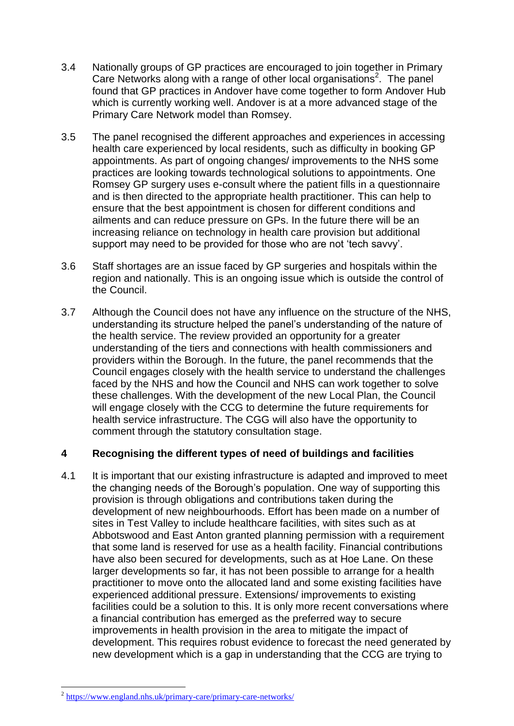- 3.4 Nationally groups of GP practices are encouraged to join together in Primary Care Networks along with a range of other local organisations<sup>2</sup>. The panel found that GP practices in Andover have come together to form Andover Hub which is currently working well. Andover is at a more advanced stage of the Primary Care Network model than Romsey.
- 3.5 The panel recognised the different approaches and experiences in accessing health care experienced by local residents, such as difficulty in booking GP appointments. As part of ongoing changes/ improvements to the NHS some practices are looking towards technological solutions to appointments. One Romsey GP surgery uses e-consult where the patient fills in a questionnaire and is then directed to the appropriate health practitioner. This can help to ensure that the best appointment is chosen for different conditions and ailments and can reduce pressure on GPs. In the future there will be an increasing reliance on technology in health care provision but additional support may need to be provided for those who are not 'tech savvy'.
- 3.6 Staff shortages are an issue faced by GP surgeries and hospitals within the region and nationally. This is an ongoing issue which is outside the control of the Council.
- 3.7 Although the Council does not have any influence on the structure of the NHS, understanding its structure helped the panel's understanding of the nature of the health service. The review provided an opportunity for a greater understanding of the tiers and connections with health commissioners and providers within the Borough. In the future, the panel recommends that the Council engages closely with the health service to understand the challenges faced by the NHS and how the Council and NHS can work together to solve these challenges. With the development of the new Local Plan, the Council will engage closely with the CCG to determine the future requirements for health service infrastructure. The CGG will also have the opportunity to comment through the statutory consultation stage.

### **4 Recognising the different types of need of buildings and facilities**

4.1 It is important that our existing infrastructure is adapted and improved to meet the changing needs of the Borough's population. One way of supporting this provision is through obligations and contributions taken during the development of new neighbourhoods. Effort has been made on a number of sites in Test Valley to include healthcare facilities, with sites such as at Abbotswood and East Anton granted planning permission with a requirement that some land is reserved for use as a health facility. Financial contributions have also been secured for developments, such as at Hoe Lane. On these larger developments so far, it has not been possible to arrange for a health practitioner to move onto the allocated land and some existing facilities have experienced additional pressure. Extensions/ improvements to existing facilities could be a solution to this. It is only more recent conversations where a financial contribution has emerged as the preferred way to secure improvements in health provision in the area to mitigate the impact of development. This requires robust evidence to forecast the need generated by new development which is a gap in understanding that the CCG are trying to

 $\overline{a}$ 

<sup>&</sup>lt;sup>2</sup> <https://www.england.nhs.uk/primary-care/primary-care-networks/>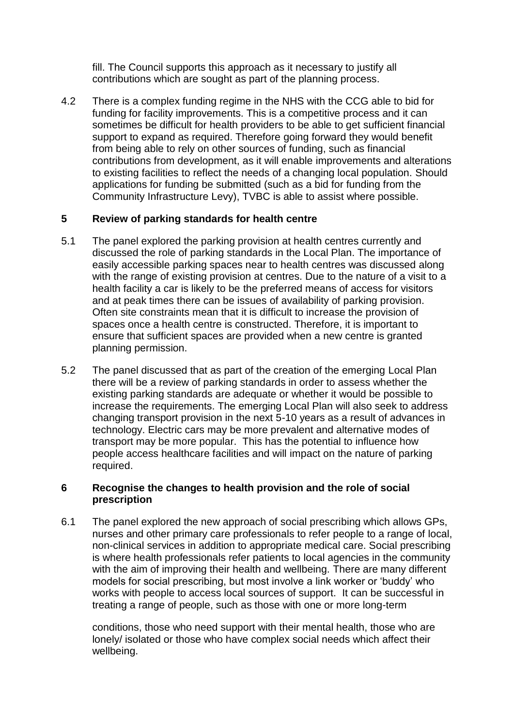fill. The Council supports this approach as it necessary to justify all contributions which are sought as part of the planning process.

4.2 There is a complex funding regime in the NHS with the CCG able to bid for funding for facility improvements. This is a competitive process and it can sometimes be difficult for health providers to be able to get sufficient financial support to expand as required. Therefore going forward they would benefit from being able to rely on other sources of funding, such as financial contributions from development, as it will enable improvements and alterations to existing facilities to reflect the needs of a changing local population. Should applications for funding be submitted (such as a bid for funding from the Community Infrastructure Levy), TVBC is able to assist where possible.

### **5 Review of parking standards for health centre**

- 5.1 The panel explored the parking provision at health centres currently and discussed the role of parking standards in the Local Plan. The importance of easily accessible parking spaces near to health centres was discussed along with the range of existing provision at centres. Due to the nature of a visit to a health facility a car is likely to be the preferred means of access for visitors and at peak times there can be issues of availability of parking provision. Often site constraints mean that it is difficult to increase the provision of spaces once a health centre is constructed. Therefore, it is important to ensure that sufficient spaces are provided when a new centre is granted planning permission.
- 5.2 The panel discussed that as part of the creation of the emerging Local Plan there will be a review of parking standards in order to assess whether the existing parking standards are adequate or whether it would be possible to increase the requirements. The emerging Local Plan will also seek to address changing transport provision in the next 5-10 years as a result of advances in technology. Electric cars may be more prevalent and alternative modes of transport may be more popular. This has the potential to influence how people access healthcare facilities and will impact on the nature of parking required.

#### **6 Recognise the changes to health provision and the role of social prescription**

6.1 The panel explored the new approach of social prescribing which allows GPs, nurses and other primary care professionals to refer people to a range of local, non-clinical services in addition to appropriate medical care. Social prescribing is where health professionals refer patients to local agencies in the community with the aim of improving their health and wellbeing. There are many different models for social prescribing, but most involve a link worker or 'buddy' who works with people to access local sources of support. It can be successful in treating a range of people, such as those with one or more long-term

conditions, those who need support with their mental health, those who are lonely/ isolated or those who have complex social needs which affect their wellbeing.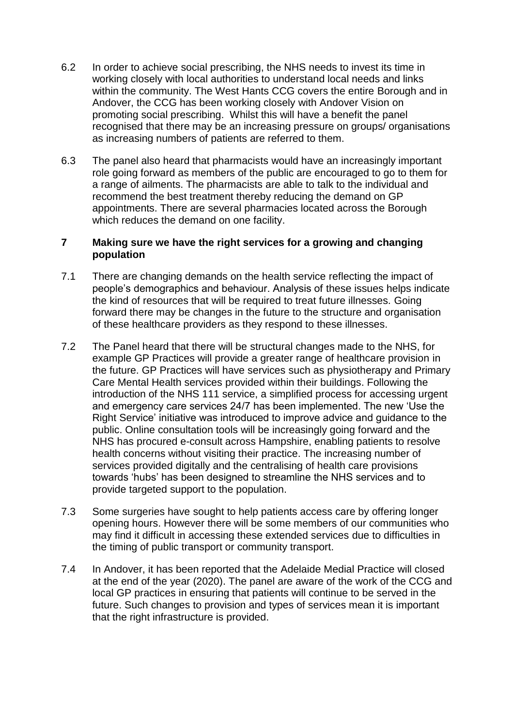- 6.2 In order to achieve social prescribing, the NHS needs to invest its time in working closely with local authorities to understand local needs and links within the community. The West Hants CCG covers the entire Borough and in Andover, the CCG has been working closely with Andover Vision on promoting social prescribing. Whilst this will have a benefit the panel recognised that there may be an increasing pressure on groups/ organisations as increasing numbers of patients are referred to them.
- 6.3 The panel also heard that pharmacists would have an increasingly important role going forward as members of the public are encouraged to go to them for a range of ailments. The pharmacists are able to talk to the individual and recommend the best treatment thereby reducing the demand on GP appointments. There are several pharmacies located across the Borough which reduces the demand on one facility.

#### **7 Making sure we have the right services for a growing and changing population**

- 7.1 There are changing demands on the health service reflecting the impact of people's demographics and behaviour. Analysis of these issues helps indicate the kind of resources that will be required to treat future illnesses. Going forward there may be changes in the future to the structure and organisation of these healthcare providers as they respond to these illnesses.
- 7.2 The Panel heard that there will be structural changes made to the NHS, for example GP Practices will provide a greater range of healthcare provision in the future. GP Practices will have services such as physiotherapy and Primary Care Mental Health services provided within their buildings. Following the introduction of the NHS 111 service, a simplified process for accessing urgent and emergency care services 24/7 has been implemented. The new 'Use the Right Service' initiative was introduced to improve advice and guidance to the public. Online consultation tools will be increasingly going forward and the NHS has procured e-consult across Hampshire, enabling patients to resolve health concerns without visiting their practice. The increasing number of services provided digitally and the centralising of health care provisions towards 'hubs' has been designed to streamline the NHS services and to provide targeted support to the population.
- 7.3 Some surgeries have sought to help patients access care by offering longer opening hours. However there will be some members of our communities who may find it difficult in accessing these extended services due to difficulties in the timing of public transport or community transport.
- 7.4 In Andover, it has been reported that the Adelaide Medial Practice will closed at the end of the year (2020). The panel are aware of the work of the CCG and local GP practices in ensuring that patients will continue to be served in the future. Such changes to provision and types of services mean it is important that the right infrastructure is provided.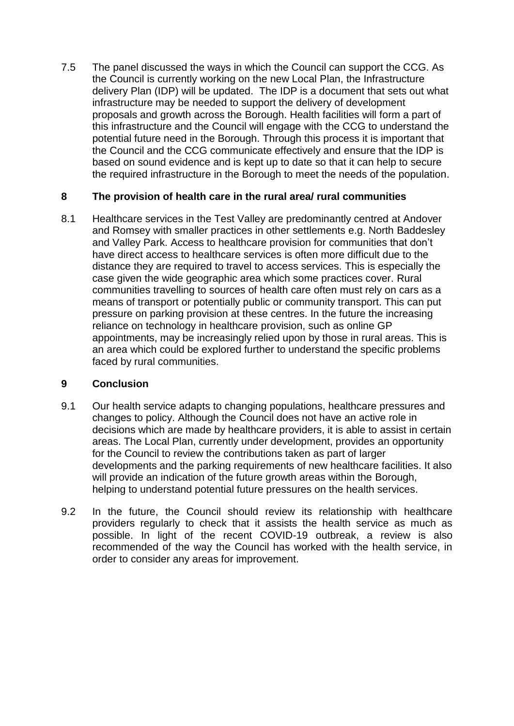7.5 The panel discussed the ways in which the Council can support the CCG. As the Council is currently working on the new Local Plan, the Infrastructure delivery Plan (IDP) will be updated. The IDP is a document that sets out what infrastructure may be needed to support the delivery of development proposals and growth across the Borough. Health facilities will form a part of this infrastructure and the Council will engage with the CCG to understand the potential future need in the Borough. Through this process it is important that the Council and the CCG communicate effectively and ensure that the IDP is based on sound evidence and is kept up to date so that it can help to secure the required infrastructure in the Borough to meet the needs of the population.

#### **8 The provision of health care in the rural area/ rural communities**

8.1 Healthcare services in the Test Valley are predominantly centred at Andover and Romsey with smaller practices in other settlements e.g. North Baddesley and Valley Park. Access to healthcare provision for communities that don't have direct access to healthcare services is often more difficult due to the distance they are required to travel to access services. This is especially the case given the wide geographic area which some practices cover. Rural communities travelling to sources of health care often must rely on cars as a means of transport or potentially public or community transport. This can put pressure on parking provision at these centres. In the future the increasing reliance on technology in healthcare provision, such as online GP appointments, may be increasingly relied upon by those in rural areas. This is an area which could be explored further to understand the specific problems faced by rural communities.

### **9 Conclusion**

- 9.1 Our health service adapts to changing populations, healthcare pressures and changes to policy. Although the Council does not have an active role in decisions which are made by healthcare providers, it is able to assist in certain areas. The Local Plan, currently under development, provides an opportunity for the Council to review the contributions taken as part of larger developments and the parking requirements of new healthcare facilities. It also will provide an indication of the future growth areas within the Borough, helping to understand potential future pressures on the health services.
- 9.2 In the future, the Council should review its relationship with healthcare providers regularly to check that it assists the health service as much as possible. In light of the recent COVID-19 outbreak, a review is also recommended of the way the Council has worked with the health service, in order to consider any areas for improvement.